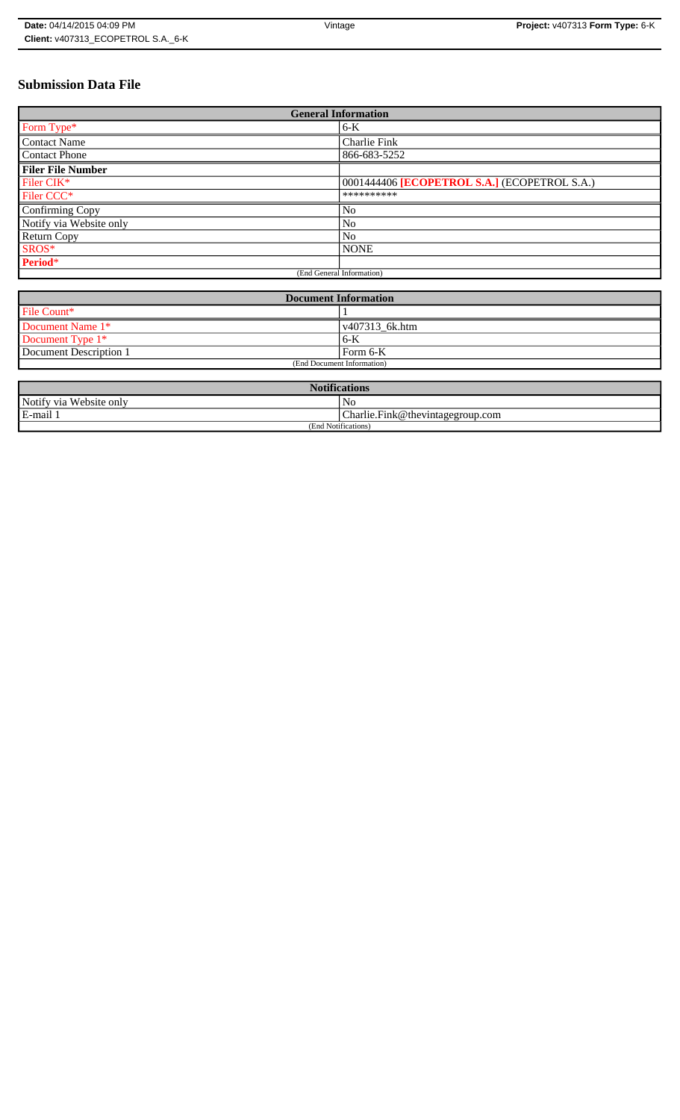# **Submission Data File**

| <b>General Information</b> |                                              |
|----------------------------|----------------------------------------------|
| Form Type*                 | $6-K$                                        |
| <b>Contact Name</b>        | Charlie Fink                                 |
| <b>Contact Phone</b>       | 866-683-5252                                 |
| <b>Filer File Number</b>   |                                              |
| Filer CIK*                 | 0001444406 [ECOPETROL S.A.] (ECOPETROL S.A.) |
| Filer CCC <sup>*</sup>     | **********                                   |
| Confirming Copy            | No                                           |
| Notify via Website only    | N <sub>o</sub>                               |
| <b>Return Copy</b>         | N <sub>o</sub>                               |
| SROS*                      | <b>NONE</b>                                  |
| Period*                    |                                              |
| (End General Information)  |                                              |

| <b>Document Information</b> |                        |
|-----------------------------|------------------------|
| File Count*                 |                        |
| Document Name 1*            | $\sqrt{407313}$ 6k.htm |
| Document Type 1*            | 6-K                    |
| Document Description 1      | Form 6-K               |
| (End Document Information)  |                        |

| <b>Notifications</b>    |                                  |
|-------------------------|----------------------------------|
| Notify via Website only | N <sub>0</sub>                   |
| E-mail 1                | Charlie.Fink@thevintagegroup.com |
| (End Notifications)     |                                  |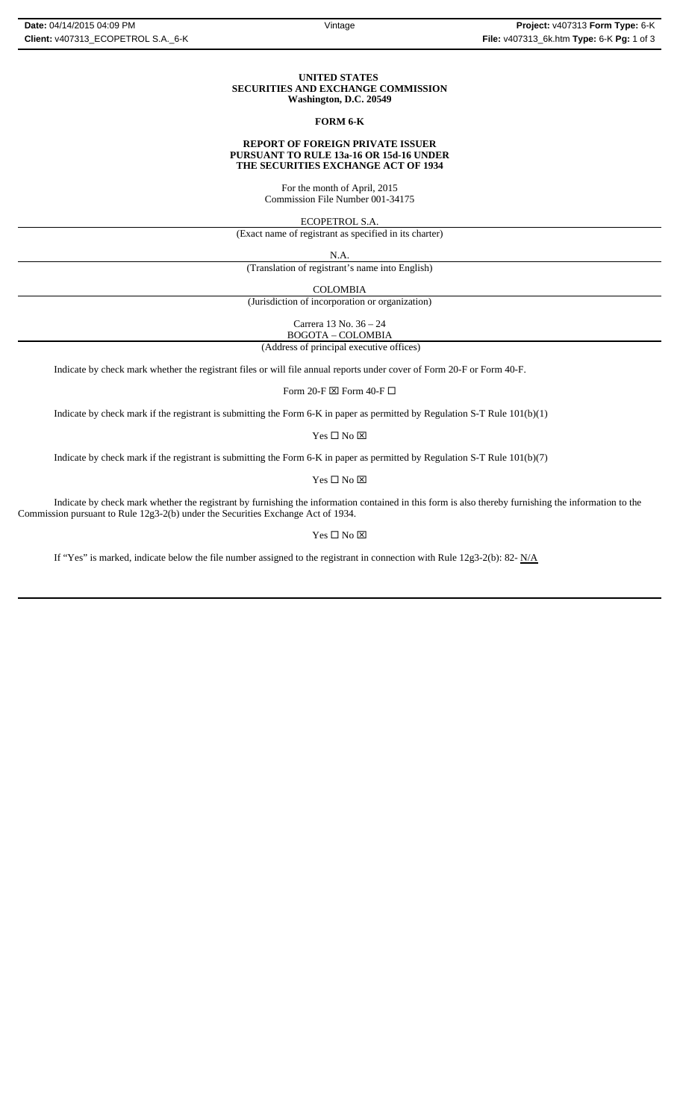### **UNITED STATES SECURITIES AND EXCHANGE COMMISSION Washington, D.C. 20549**

## **FORM 6-K**

### **REPORT OF FOREIGN PRIVATE ISSUER PURSUANT TO RULE 13a-16 OR 15d-16 UNDER THE SECURITIES EXCHANGE ACT OF 1934**

For the month of April, 2015 Commission File Number 001-34175

ECOPETROL S.A.

(Exact name of registrant as specified in its charter)

N.A.

(Translation of registrant's name into English)

COLOMBIA

(Jurisdiction of incorporation or organization)

Carrera 13 No. 36 – 24

 (Address of principal executive offices) BOGOTA – COLOMBIA

Indicate by check mark whether the registrant files or will file annual reports under cover of Form 20-F or Form 40-F.

Form 20-F  $\boxtimes$  Form 40-F  $\Box$ 

Indicate by check mark if the registrant is submitting the Form 6-K in paper as permitted by Regulation S-T Rule 101(b)(1)

Yes $\square$  No  $\square$ 

Indicate by check mark if the registrant is submitting the Form 6-K in paper as permitted by Regulation S-T Rule 101(b)(7)

Yes □ No ⊠

Indicate by check mark whether the registrant by furnishing the information contained in this form is also thereby furnishing the information to the Commission pursuant to Rule 12g3-2(b) under the Securities Exchange Act of 1934.

## $Yes \Box No \boxtimes$

If "Yes" is marked, indicate below the file number assigned to the registrant in connection with Rule  $12g3-2(b)$ : 82- N/A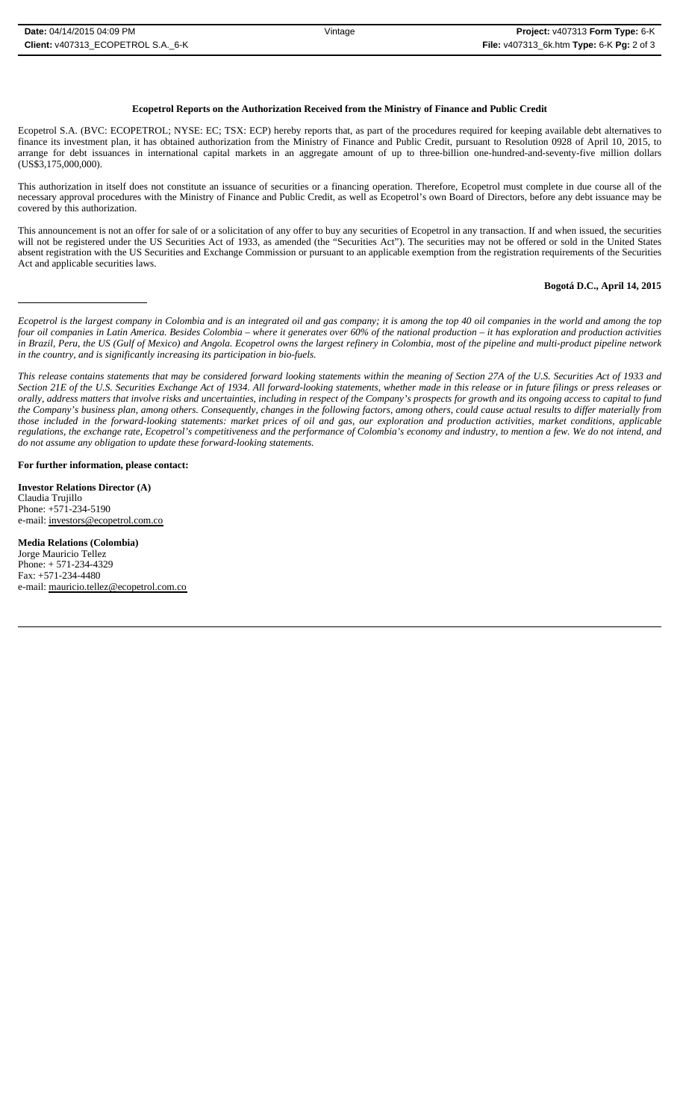## **Ecopetrol Reports on the Authorization Received from the Ministry of Finance and Public Credit**

Ecopetrol S.A. (BVC: ECOPETROL; NYSE: EC; TSX: ECP) hereby reports that, as part of the procedures required for keeping available debt alternatives to finance its investment plan, it has obtained authorization from the Ministry of Finance and Public Credit, pursuant to Resolution 0928 of April 10, 2015, to arrange for debt issuances in international capital markets in an aggregate amount of up to three-billion one-hundred-and-seventy-five million dollars (US\$3,175,000,000).

This authorization in itself does not constitute an issuance of securities or a financing operation. Therefore, Ecopetrol must complete in due course all of the necessary approval procedures with the Ministry of Finance and Public Credit, as well as Ecopetrol's own Board of Directors, before any debt issuance may be covered by this authorization.

This announcement is not an offer for sale of or a solicitation of any offer to buy any securities of Ecopetrol in any transaction. If and when issued, the securities will not be registered under the US Securities Act of 1933, as amended (the "Securities Act"). The securities may not be offered or sold in the United States absent registration with the US Securities and Exchange Commission or pursuant to an applicable exemption from the registration requirements of the Securities Act and applicable securities laws.

#### **Bogotá D.C., April 14, 2015**

*Ecopetrol is the largest company in Colombia and is an integrated oil and gas company; it is among the top 40 oil companies in the world and among the top four oil companies in Latin America. Besides Colombia – where it generates over 60% of the national production – it has exploration and production activities in Brazil, Peru, the US (Gulf of Mexico) and Angola. Ecopetrol owns the largest refinery in Colombia, most of the pipeline and multi-product pipeline network in the country, and is significantly increasing its participation in bio-fuels.* 

*This release contains statements that may be considered forward looking statements within the meaning of Section 27A of the U.S. Securities Act of 1933 and Section 21E of the U.S. Securities Exchange Act of 1934. All forward-looking statements, whether made in this release or in future filings or press releases or* orally, address matters that involve risks and uncertainties, including in respect of the Company's prospects for growth and its ongoing access to capital to fund *the Company's business plan, among others. Consequently, changes in the following factors, among others, could cause actual results to differ materially from those included in the forward-looking statements: market prices of oil and gas, our exploration and production activities, market conditions, applicable regulations, the exchange rate, Ecopetrol's competitiveness and the performance of Colombia's economy and industry, to mention a few. We do not intend, and do not assume any obligation to update these forward-looking statements.*

**For further information, please contact:** 

**Investor Relations Director (A)** Claudia Trujillo Phone: +571-234-5190 e-mail: investors@ecopetrol.com.co

**Media Relations (Colombia)**  Jorge Mauricio Tellez Phone: + 571-234-4329 Fax: +571-234-4480 e-mail: mauricio.tellez@ecopetrol.com.co